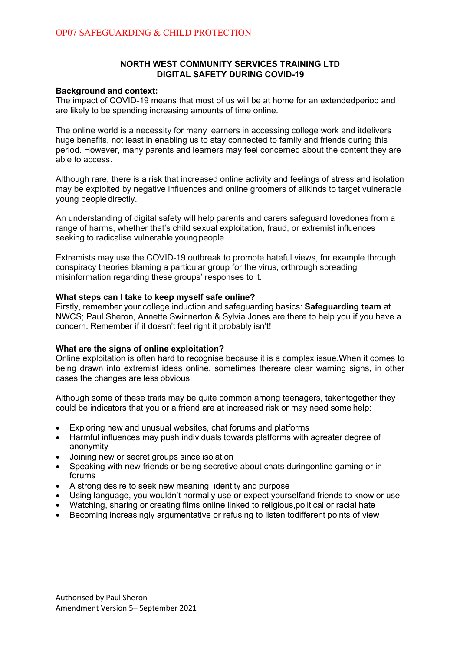## **NORTH WEST COMMUNITY SERVICES TRAINING LTD DIGITAL SAFETY DURING COVID-19**

#### **Background and context:**

The impact of COVID-19 means that most of us will be at home for an extendedperiod and are likely to be spending increasing amounts of time online.

The online world is a necessity for many learners in accessing college work and itdelivers huge benefits, not least in enabling us to stay connected to family and friends during this period. However, many parents and learners may feel concerned about the content they are able to access.

Although rare, there is a risk that increased online activity and feelings of stress and isolation may be exploited by negative influences and online groomers of allkinds to target vulnerable young people directly.

An understanding of digital safety will help parents and carers safeguard lovedones from a range of harms, whether that's child sexual exploitation, fraud, or extremist influences seeking to radicalise vulnerable young people.

Extremists may use the COVID-19 outbreak to promote hateful views, for example through conspiracy theories blaming a particular group for the virus, orthrough spreading misinformation regarding these groups' responses to it.

#### **What steps can I take to keep myself safe online?**

Firstly, remember your college induction and safeguarding basics: **Safeguarding team** at NWCS; Paul Sheron, Annette Swinnerton & Sylvia Jones are there to help you if you have a concern. Remember if it doesn't feel right it probably isn't!

#### **What are the signs of online exploitation?**

Online exploitation is often hard to recognise because it is a complex issue.When it comes to being drawn into extremist ideas online, sometimes thereare clear warning signs, in other cases the changes are less obvious.

Although some of these traits may be quite common among teenagers, takentogether they could be indicators that you or a friend are at increased risk or may need some help:

- Exploring new and unusual websites, chat forums and platforms
- Harmful influences may push individuals towards platforms with agreater degree of anonymity
- Joining new or secret groups since isolation
- Speaking with new friends or being secretive about chats duringonline gaming or in forums
- A strong desire to seek new meaning, identity and purpose
- Using language, you wouldn't normally use or expect yourselfand friends to know or use
- Watching, sharing or creating films online linked to religious, political or racial hate
- Becoming increasingly argumentative or refusing to listen todifferent points of view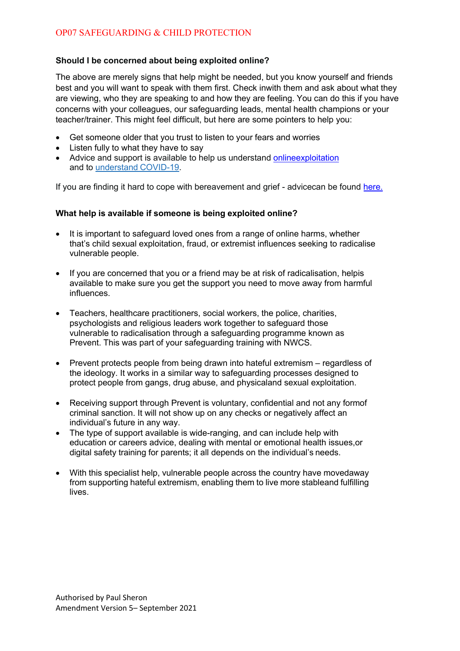# **Should I be concerned about being exploited online?**

The above are merely signs that help might be needed, but you know yourself and friends best and you will want to speak with them first. Check inwith them and ask about what they are viewing, who they are speaking to and how they are feeling. You can do this if you have concerns with your colleagues, our safeguarding leads, mental health champions or your teacher/trainer. This might feel difficult, but here are some pointers to help you:

- Get someone older that you trust to listen to your fears and worries
- Listen fully to what they have to say
- Advice and support is available to help us understand onlineexploitation and to understand COVID-19.

If you are finding it hard to cope with bereavement and grief - advicecan be found here.

# **What help is available if someone is being exploited online?**

- It is important to safeguard loved ones from a range of online harms, whether that's child sexual exploitation, fraud, or extremist influences seeking to radicalise vulnerable people.
- If you are concerned that you or a friend may be at risk of radicalisation, helpis available to make sure you get the support you need to move away from harmful influences.
- Teachers, healthcare practitioners, social workers, the police, charities, psychologists and religious leaders work together to safeguard those vulnerable to radicalisation through a safeguarding programme known as Prevent. This was part of your safeguarding training with NWCS.
- Prevent protects people from being drawn into hateful extremism regardless of the ideology. It works in a similar way to safeguarding processes designed to protect people from gangs, drug abuse, and physicaland sexual exploitation.
- Receiving support through Prevent is voluntary, confidential and not any formof criminal sanction. It will not show up on any checks or negatively affect an individual's future in any way.
- The type of support available is wide-ranging, and can include help with education or careers advice, dealing with mental or emotional health issues,or digital safety training for parents; it all depends on the individual's needs.
- With this specialist help, vulnerable people across the country have movedaway from supporting hateful extremism, enabling them to live more stableand fulfilling lives.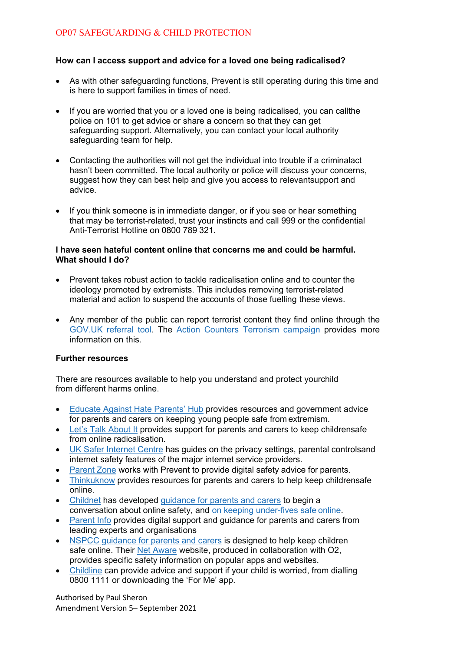# **How can I access support and advice for a loved one being radicalised?**

- As with other safeguarding functions, Prevent is still operating during this time and is here to support families in times of need.
- If you are worried that you or a loved one is being radicalised, you can callthe police on 101 to get advice or share a concern so that they can get safeguarding support. Alternatively, you can contact your local authority safeguarding team for help.
- Contacting the authorities will not get the individual into trouble if a criminalact hasn't been committed. The local authority or police will discuss your concerns, suggest how they can best help and give you access to relevantsupport and advice.
- If you think someone is in immediate danger, or if you see or hear something that may be terrorist-related, trust your instincts and call 999 or the confidential Anti-Terrorist Hotline on 0800 789 321.

### **I have seen hateful content online that concerns me and could be harmful. What should I do?**

- Prevent takes robust action to tackle radicalisation online and to counter the ideology promoted by extremists. This includes removing terrorist-related material and action to suspend the accounts of those fuelling these views.
- Any member of the public can report terrorist content they find online through the GOV.UK referral tool. The Action Counters Terrorism campaign provides more information on this.

## **Further resources**

There are resources available to help you understand and protect yourchild from different harms online.

- Educate Against Hate Parents' Hub provides resources and government advice for parents and carers on keeping young people safe from extremism.
- Let's Talk About It provides support for parents and carers to keep childrensafe from online radicalisation.
- UK Safer Internet Centre has guides on the privacy settings, parental controlsand internet safety features of the major internet service providers.
- Parent Zone works with Prevent to provide digital safety advice for parents.
- Thinkuknow provides resources for parents and carers to help keep childrensafe online.
- Childnet has developed guidance for parents and carers to begin a conversation about online safety, and on keeping under-fives safe online.
- Parent Info provides digital support and guidance for parents and carers from leading experts and organisations
- NSPCC quidance for parents and carers is designed to help keep children safe online. Their Net Aware website, produced in collaboration with O2, provides specific safety information on popular apps and websites.
- Childline can provide advice and support if your child is worried, from dialling 0800 1111 or downloading the 'For Me' app.

Authorised by Paul Sheron Amendment Version 5– September 2021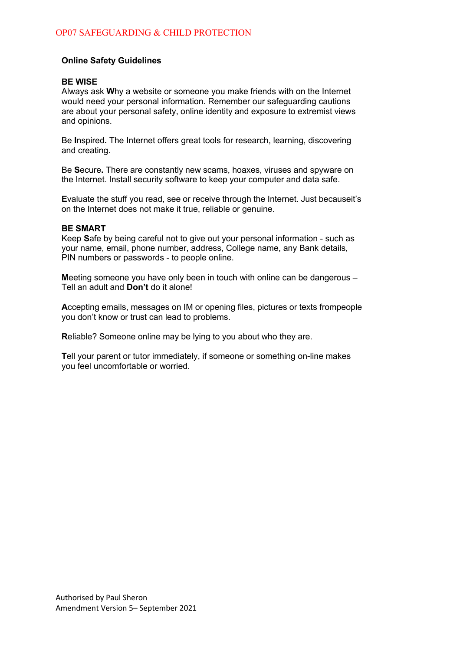## **Online Safety Guidelines**

## **BE WISE**

Always ask **W**hy a website or someone you make friends with on the Internet would need your personal information. Remember our safeguarding cautions are about your personal safety, online identity and exposure to extremist views and opinions.

Be **I**nspired**.** The Internet offers great tools for research, learning, discovering and creating.

Be **S**ecure**.** There are constantly new scams, hoaxes, viruses and spyware on the Internet. Install security software to keep your computer and data safe.

**E**valuate the stuff you read, see or receive through the Internet. Just becauseit's on the Internet does not make it true, reliable or genuine.

#### **BE SMART**

Keep **S**afe by being careful not to give out your personal information - such as your name, email, phone number, address, College name, any Bank details, PIN numbers or passwords - to people online.

**M**eeting someone you have only been in touch with online can be dangerous – Tell an adult and **Don't** do it alone!

**A**ccepting emails, messages on IM or opening files, pictures or texts frompeople you don't know or trust can lead to problems.

**R**eliable? Someone online may be lying to you about who they are.

**T**ell your parent or tutor immediately, if someone or something on-line makes you feel uncomfortable or worried.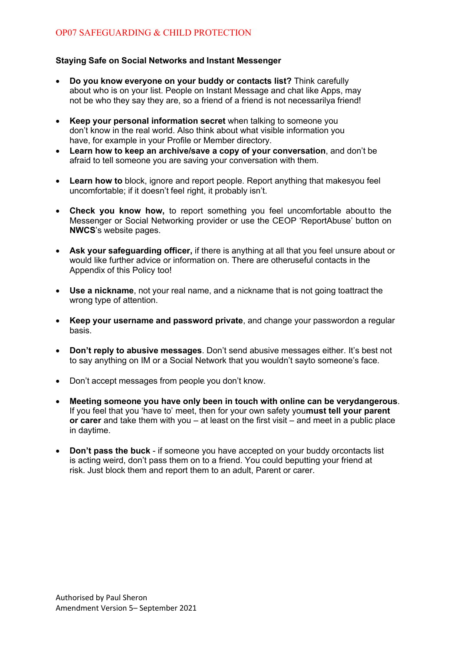# **Staying Safe on Social Networks and Instant Messenger**

- **Do you know everyone on your buddy or contacts list?** Think carefully about who is on your list. People on Instant Message and chat like Apps, may not be who they say they are, so a friend of a friend is not necessarilya friend!
- **Keep your personal information secret** when talking to someone you don't know in the real world. Also think about what visible information you have, for example in your Profile or Member directory.
- **Learn how to keep an archive/save a copy of your conversation**, and don't be afraid to tell someone you are saving your conversation with them.
- **Learn how to** block, ignore and report people. Report anything that makesyou feel uncomfortable; if it doesn't feel right, it probably isn't.
- **Check you know how,** to report something you feel uncomfortable aboutto the Messenger or Social Networking provider or use the CEOP 'ReportAbuse' button on **NWCS**'s website pages.
- **Ask your safeguarding officer,** if there is anything at all that you feel unsure about or would like further advice or information on. There are otheruseful contacts in the Appendix of this Policy too!
- **Use a nickname**, not your real name, and a nickname that is not going toattract the wrong type of attention.
- **Keep your username and password private**, and change your passwordon a regular basis.
- **Don't reply to abusive messages**. Don't send abusive messages either. It's best not to say anything on IM or a Social Network that you wouldn't sayto someone's face.
- Don't accept messages from people you don't know.
- **Meeting someone you have only been in touch with online can be verydangerous**. If you feel that you 'have to' meet, then for your own safety you**must tell your parent or carer** and take them with you – at least on the first visit – and meet in a public place in daytime.
- **Don't pass the buck**  if someone you have accepted on your buddy orcontacts list is acting weird, don't pass them on to a friend. You could beputting your friend at risk. Just block them and report them to an adult, Parent or carer.